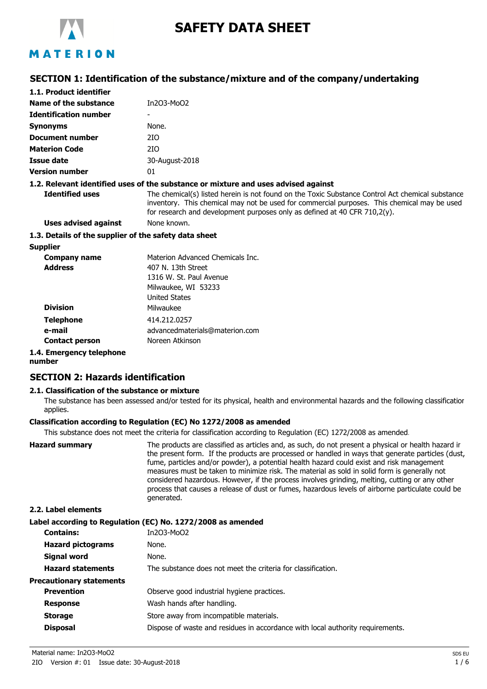

# **SAFETY DATA SHEET**

# MATERION

## **SECTION 1: Identification of the substance/mixture and of the company/undertaking**

| 1.1. Product identifier                               |                                                                                                                                                                                                                                                                              |  |
|-------------------------------------------------------|------------------------------------------------------------------------------------------------------------------------------------------------------------------------------------------------------------------------------------------------------------------------------|--|
| Name of the substance                                 | In203-Mo02                                                                                                                                                                                                                                                                   |  |
| <b>Identification number</b>                          |                                                                                                                                                                                                                                                                              |  |
| <b>Synonyms</b>                                       | None.                                                                                                                                                                                                                                                                        |  |
| Document number                                       | 210.                                                                                                                                                                                                                                                                         |  |
| <b>Materion Code</b>                                  | 2IO                                                                                                                                                                                                                                                                          |  |
| Issue date                                            | 30-August-2018                                                                                                                                                                                                                                                               |  |
| <b>Version number</b>                                 | 01                                                                                                                                                                                                                                                                           |  |
|                                                       | 1.2. Relevant identified uses of the substance or mixture and uses advised against                                                                                                                                                                                           |  |
| <b>Identified uses</b>                                | The chemical(s) listed herein is not found on the Toxic Substance Control Act chemical substance<br>inventory. This chemical may not be used for commercial purposes. This chemical may be used<br>for research and development purposes only as defined at 40 CFR 710,2(y). |  |
| <b>Uses advised against</b>                           | None known.                                                                                                                                                                                                                                                                  |  |
| 1.3. Details of the supplier of the safety data sheet |                                                                                                                                                                                                                                                                              |  |
| <b>Supplier</b>                                       |                                                                                                                                                                                                                                                                              |  |
| <b>Company name</b>                                   | Materion Advanced Chemicals Inc.                                                                                                                                                                                                                                             |  |
| <b>Address</b>                                        | 407 N. 13th Street                                                                                                                                                                                                                                                           |  |
|                                                       | 1316 W. St. Paul Avenue                                                                                                                                                                                                                                                      |  |
|                                                       | Milwaukee, WI 53233                                                                                                                                                                                                                                                          |  |
|                                                       | <b>United States</b>                                                                                                                                                                                                                                                         |  |
| <b>Division</b>                                       | Milwaukee                                                                                                                                                                                                                                                                    |  |
| <b>Telephone</b>                                      | 414.212.0257                                                                                                                                                                                                                                                                 |  |
| e-mail                                                | advancedmaterials@materion.com                                                                                                                                                                                                                                               |  |

**Contact person** Noreen Atkinson

## **1.4. Emergency telephone**

**number**

## **SECTION 2: Hazards identification**

## **2.1. Classification of the substance or mixture**

The substance has been assessed and/or tested for its physical, health and environmental hazards and the following classification applies.

## **Classification according to Regulation (EC) No 1272/2008 as amended**

This substance does not meet the criteria for classification according to Regulation (EC) 1272/2008 as amended.

| <b>Hazard summary</b> | The products are classified as articles and, as such, do not present a physical or health hazard ir<br>the present form. If the products are processed or handled in ways that generate particles (dust,<br>fume, particles and/or powder), a potential health hazard could exist and risk management<br>measures must be taken to minimize risk. The material as sold in solid form is generally not<br>considered hazardous. However, if the process involves grinding, melting, cutting or any other<br>process that causes a release of dust or fumes, hazardous levels of airborne particulate could be |
|-----------------------|--------------------------------------------------------------------------------------------------------------------------------------------------------------------------------------------------------------------------------------------------------------------------------------------------------------------------------------------------------------------------------------------------------------------------------------------------------------------------------------------------------------------------------------------------------------------------------------------------------------|
|                       | generated.                                                                                                                                                                                                                                                                                                                                                                                                                                                                                                                                                                                                   |

#### **2.2. Label elements**

#### **Label according to Regulation (EC) No. 1272/2008 as amended**

| <b>Contains:</b>                | In203-Mo02                                                                     |
|---------------------------------|--------------------------------------------------------------------------------|
| <b>Hazard pictograms</b>        | None.                                                                          |
| Signal word                     | None.                                                                          |
| <b>Hazard statements</b>        | The substance does not meet the criteria for classification.                   |
| <b>Precautionary statements</b> |                                                                                |
| <b>Prevention</b>               | Observe good industrial hygiene practices.                                     |
| <b>Response</b>                 | Wash hands after handling.                                                     |
| <b>Storage</b>                  | Store away from incompatible materials.                                        |
| <b>Disposal</b>                 | Dispose of waste and residues in accordance with local authority requirements. |
|                                 |                                                                                |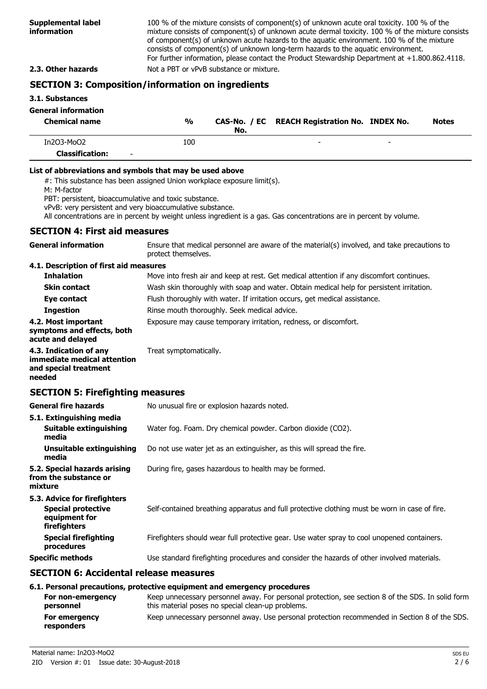100 % of the mixture consists of component(s) of unknown acute oral toxicity. 100 % of the mixture consists of component(s) of unknown acute dermal toxicity. 100 % of the mixture consists of component(s) of unknown acute hazards to the aquatic environment. 100 % of the mixture consists of component(s) of unknown long-term hazards to the aquatic environment. For further information, please contact the Product Stewardship Department at +1.800.862.4118. **2.3. Other hazards** Not a PBT or vPvB substance or mixture.

## **SECTION 3: Composition/information on ingredients**

#### **3.1. Substances**

## **General information**

| <b>Chemical name</b>   | $\frac{0}{0}$ | No. | CAS-No. / EC REACH Registration No. INDEX No. |                          | <b>Notes</b> |
|------------------------|---------------|-----|-----------------------------------------------|--------------------------|--------------|
| $In 2O3-MoO2$          | 100           |     | -                                             | $\overline{\phantom{0}}$ |              |
| <b>Classification:</b> | $\sim$        |     |                                               |                          |              |

#### **List of abbreviations and symbols that may be used above**

#: This substance has been assigned Union workplace exposure limit(s).

M: M-factor

PBT: persistent, bioaccumulative and toxic substance.

vPvB: very persistent and very bioaccumulative substance.

All concentrations are in percent by weight unless ingredient is a gas. Gas concentrations are in percent by volume.

#### **SECTION 4: First aid measures**

| <b>General information</b>                                                               | Ensure that medical personnel are aware of the material(s) involved, and take precautions to<br>protect themselves. |  |  |
|------------------------------------------------------------------------------------------|---------------------------------------------------------------------------------------------------------------------|--|--|
| 4.1. Description of first aid measures                                                   |                                                                                                                     |  |  |
| <b>Inhalation</b>                                                                        | Move into fresh air and keep at rest. Get medical attention if any discomfort continues.                            |  |  |
| <b>Skin contact</b>                                                                      | Wash skin thoroughly with soap and water. Obtain medical help for persistent irritation.                            |  |  |
| Eye contact                                                                              | Flush thoroughly with water. If irritation occurs, get medical assistance.                                          |  |  |
| <b>Ingestion</b>                                                                         | Rinse mouth thoroughly. Seek medical advice.                                                                        |  |  |
| 4.2. Most important<br>symptoms and effects, both<br>acute and delayed                   | Exposure may cause temporary irritation, redness, or discomfort.                                                    |  |  |
| 4.3. Indication of any<br>immediate medical attention<br>and special treatment<br>needed | Treat symptomatically.                                                                                              |  |  |
| <b>SECTION 5: Firefighting measures</b>                                                  |                                                                                                                     |  |  |
| <b>General fire hazards</b>                                                              | No unusual fire or explosion hazards noted.                                                                         |  |  |
| 5.1. Extinguishing media                                                                 |                                                                                                                     |  |  |
| <b>Suitable extinguishing</b><br>media                                                   | Water fog. Foam. Dry chemical powder. Carbon dioxide (CO2).                                                         |  |  |
| <b>Unsuitable extinguishing</b><br>media                                                 | Do not use water jet as an extinguisher, as this will spread the fire.                                              |  |  |
| 5.2. Special hazards arising<br>from the substance or<br>mixture                         | During fire, gases hazardous to health may be formed.                                                               |  |  |
| 5.3. Advice for firefighters                                                             |                                                                                                                     |  |  |
| <b>Special protective</b><br>equipment for<br>firefighters                               | Self-contained breathing apparatus and full protective clothing must be worn in case of fire.                       |  |  |
| <b>Special firefighting</b><br>procedures                                                | Firefighters should wear full protective gear. Use water spray to cool unopened containers.                         |  |  |
| <b>Specific methods</b>                                                                  | Use standard firefighting procedures and consider the hazards of other involved materials.                          |  |  |
| <b>SECTION 6: Accidental release measures</b>                                            |                                                                                                                     |  |  |

#### **6.1. Personal precautions, protective equipment and emergency procedures**

| For non-emergency<br>personnel | Keep unnecessary personnel away. For personal protection, see section 8 of the SDS. In solid form<br>this material poses no special clean-up problems. |
|--------------------------------|--------------------------------------------------------------------------------------------------------------------------------------------------------|
| For emergency<br>responders    | Keep unnecessary personnel away. Use personal protection recommended in Section 8 of the SDS.                                                          |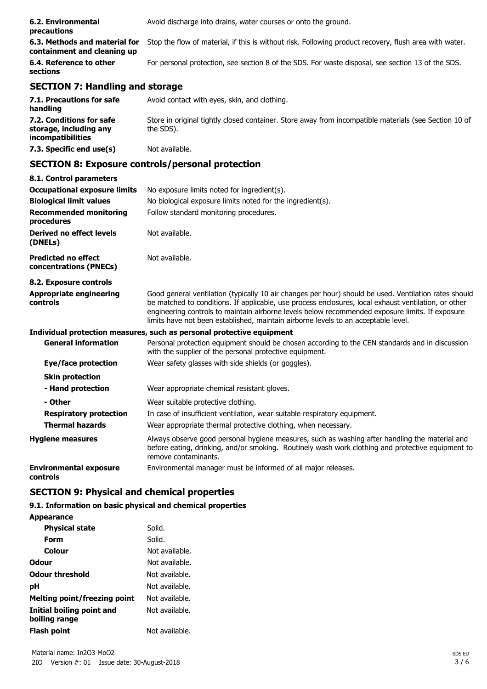| 6.2. Environmental<br>precautions   | Avoid discharge into drains, water courses or onto the ground.                                                                       |
|-------------------------------------|--------------------------------------------------------------------------------------------------------------------------------------|
| containment and cleaning up         | 6.3. Methods and material for Stop the flow of material, if this is without risk. Following product recovery, flush area with water. |
| 6.4. Reference to other<br>sections | For personal protection, see section 8 of the SDS. For waste disposal, see section 13 of the SDS.                                    |

## **SECTION 7: Handling and storage**

| 7.1. Precautions for safe<br>handling                                          | Avoid contact with eyes, skin, and clothing.                                                                       |
|--------------------------------------------------------------------------------|--------------------------------------------------------------------------------------------------------------------|
| 7.2. Conditions for safe<br>storage, including any<br><i>incompatibilities</i> | Store in original tightly closed container. Store away from incompatible materials (see Section 10 of<br>the SDS). |
| 7.3. Specific end use(s)                                                       | Not available.                                                                                                     |

## **SECTION 8: Exposure controls/personal protection**

| 8.1. Control parameters                              |                                                                                                                                                                                                                                                                                                                                                                                                        |
|------------------------------------------------------|--------------------------------------------------------------------------------------------------------------------------------------------------------------------------------------------------------------------------------------------------------------------------------------------------------------------------------------------------------------------------------------------------------|
| <b>Occupational exposure limits</b>                  | No exposure limits noted for ingredient(s).                                                                                                                                                                                                                                                                                                                                                            |
| <b>Biological limit values</b>                       | No biological exposure limits noted for the ingredient(s).                                                                                                                                                                                                                                                                                                                                             |
| <b>Recommended monitoring</b><br>procedures          | Follow standard monitoring procedures.                                                                                                                                                                                                                                                                                                                                                                 |
| Derived no effect levels<br>(DNELs)                  | Not available.                                                                                                                                                                                                                                                                                                                                                                                         |
| <b>Predicted no effect</b><br>concentrations (PNECs) | Not available.                                                                                                                                                                                                                                                                                                                                                                                         |
| 8.2. Exposure controls                               |                                                                                                                                                                                                                                                                                                                                                                                                        |
| <b>Appropriate engineering</b><br>controls           | Good general ventilation (typically 10 air changes per hour) should be used. Ventilation rates should<br>be matched to conditions. If applicable, use process enclosures, local exhaust ventilation, or other<br>engineering controls to maintain airborne levels below recommended exposure limits. If exposure<br>limits have not been established, maintain airborne levels to an acceptable level. |
|                                                      | Individual protection measures, such as personal protective equipment                                                                                                                                                                                                                                                                                                                                  |
| <b>General information</b>                           | Personal protection equipment should be chosen according to the CEN standards and in discussion<br>with the supplier of the personal protective equipment.                                                                                                                                                                                                                                             |
| Eye/face protection                                  | Wear safety glasses with side shields (or goggles).                                                                                                                                                                                                                                                                                                                                                    |
| <b>Skin protection</b>                               |                                                                                                                                                                                                                                                                                                                                                                                                        |
| - Hand protection                                    | Wear appropriate chemical resistant gloves.                                                                                                                                                                                                                                                                                                                                                            |
| - Other                                              | Wear suitable protective clothing.                                                                                                                                                                                                                                                                                                                                                                     |
| <b>Respiratory protection</b>                        | In case of insufficient ventilation, wear suitable respiratory equipment.                                                                                                                                                                                                                                                                                                                              |
| <b>Thermal hazards</b>                               | Wear appropriate thermal protective clothing, when necessary.                                                                                                                                                                                                                                                                                                                                          |
| <b>Hygiene measures</b>                              | Always observe good personal hygiene measures, such as washing after handling the material and<br>before eating, drinking, and/or smoking. Routinely wash work clothing and protective equipment to<br>remove contaminants.                                                                                                                                                                            |
| <b>Environmental exposure</b><br>controls            | Environmental manager must be informed of all major releases.                                                                                                                                                                                                                                                                                                                                          |

## **SECTION 9: Physical and chemical properties**

## **9.1. Information on basic physical and chemical properties**

| <b>Appearance</b>                          |                |
|--------------------------------------------|----------------|
| <b>Physical state</b>                      | Solid.         |
| Form                                       | Solid.         |
| Colour                                     | Not available. |
| Odour                                      | Not available. |
| <b>Odour threshold</b>                     | Not available. |
| рH                                         | Not available. |
| <b>Melting point/freezing point</b>        | Not available. |
| Initial boiling point and<br>boiling range | Not available. |
| Flash point                                | Not available. |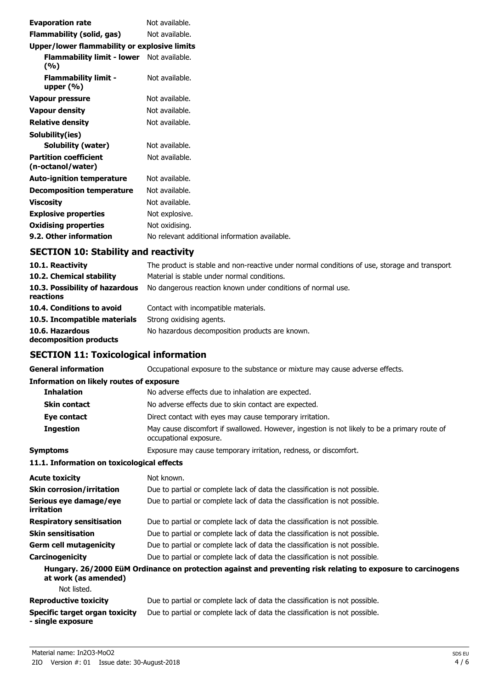| <b>Evaporation rate</b>                           | Not available.                                |
|---------------------------------------------------|-----------------------------------------------|
| Flammability (solid, gas)                         | Not available.                                |
| Upper/lower flammability or explosive limits      |                                               |
| Flammability limit - lower Not available.<br>(%)  |                                               |
| <b>Flammability limit -</b><br>upper $(\%)$       | Not available.                                |
| Vapour pressure                                   | Not available.                                |
| <b>Vapour density</b>                             | Not available.                                |
| <b>Relative density</b>                           | Not available.                                |
| Solubility(ies)                                   |                                               |
| Solubility (water)                                | Not available.                                |
| <b>Partition coefficient</b><br>(n-octanol/water) | Not available.                                |
| <b>Auto-ignition temperature</b>                  | Not available.                                |
| <b>Decomposition temperature</b>                  | Not available.                                |
| <b>Viscosity</b>                                  | Not available.                                |
| <b>Explosive properties</b>                       | Not explosive.                                |
| <b>Oxidising properties</b>                       | Not oxidising.                                |
| 9.2. Other information                            | No relevant additional information available. |

# **SECTION 10: Stability and reactivity**

| 10.1. Reactivity                            | The product is stable and non-reactive under normal conditions of use, storage and transport |
|---------------------------------------------|----------------------------------------------------------------------------------------------|
| 10.2. Chemical stability                    | Material is stable under normal conditions.                                                  |
| 10.3. Possibility of hazardous<br>reactions | No dangerous reaction known under conditions of normal use.                                  |
| 10.4. Conditions to avoid                   | Contact with incompatible materials.                                                         |
| 10.5. Incompatible materials                | Strong oxidising agents.                                                                     |
| 10.6. Hazardous<br>decomposition products   | No hazardous decomposition products are known.                                               |

## **SECTION 11: Toxicological information**

| <b>General information</b>                          | Occupational exposure to the substance or mixture may cause adverse effects.                                           |
|-----------------------------------------------------|------------------------------------------------------------------------------------------------------------------------|
| <b>Information on likely routes of exposure</b>     |                                                                                                                        |
| <b>Inhalation</b>                                   | No adverse effects due to inhalation are expected.                                                                     |
| <b>Skin contact</b>                                 | No adverse effects due to skin contact are expected.                                                                   |
| Eye contact                                         | Direct contact with eyes may cause temporary irritation.                                                               |
| <b>Ingestion</b>                                    | May cause discomfort if swallowed. However, ingestion is not likely to be a primary route of<br>occupational exposure. |
| <b>Symptoms</b>                                     | Exposure may cause temporary irritation, redness, or discomfort.                                                       |
| 11.1. Information on toxicological effects          |                                                                                                                        |
| <b>Acute toxicity</b>                               | Not known.                                                                                                             |
| <b>Skin corrosion/irritation</b>                    | Due to partial or complete lack of data the classification is not possible.                                            |
| Serious eye damage/eye<br>irritation                | Due to partial or complete lack of data the classification is not possible.                                            |
| <b>Respiratory sensitisation</b>                    | Due to partial or complete lack of data the classification is not possible.                                            |
| <b>Skin sensitisation</b>                           | Due to partial or complete lack of data the classification is not possible.                                            |
| <b>Germ cell mutagenicity</b>                       | Due to partial or complete lack of data the classification is not possible.                                            |
| <b>Carcinogenicity</b>                              | Due to partial or complete lack of data the classification is not possible.                                            |
| at work (as amended)                                | Hungary. 26/2000 EüM Ordinance on protection against and preventing risk relating to exposure to carcinogens           |
| Not listed.                                         |                                                                                                                        |
| <b>Reproductive toxicity</b>                        | Due to partial or complete lack of data the classification is not possible.                                            |
| Specific target organ toxicity<br>- single exposure | Due to partial or complete lack of data the classification is not possible.                                            |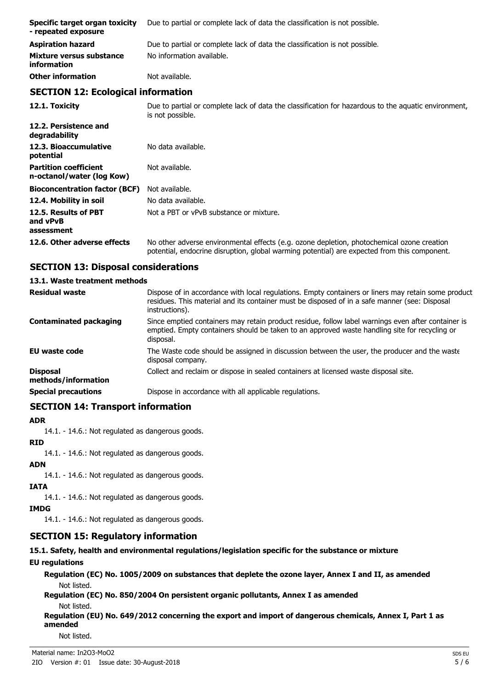| Specific target organ toxicity<br>- repeated exposure     | Due to partial or complete lack of data the classification is not possible.                                              |  |
|-----------------------------------------------------------|--------------------------------------------------------------------------------------------------------------------------|--|
| <b>Aspiration hazard</b>                                  | Due to partial or complete lack of data the classification is not possible.                                              |  |
| Mixture versus substance<br><i>information</i>            | No information available.                                                                                                |  |
| <b>Other information</b>                                  | Not available.                                                                                                           |  |
| <b>SECTION 12: Ecological information</b>                 |                                                                                                                          |  |
| 12.1. Toxicity                                            | Due to partial or complete lack of data the classification for hazardous to the aguatic environment,<br>is not possible. |  |
| 12.2. Persistence and<br>degradability                    |                                                                                                                          |  |
| 12.3. Bioaccumulative<br>potential                        | No data available.                                                                                                       |  |
| <b>Partition coefficient</b><br>n-octanol/water (log Kow) | Not available.                                                                                                           |  |
| <b>Bioconcentration factor (BCF)</b>                      | Not available.                                                                                                           |  |
| 12.4. Mobility in soil                                    | No data available.                                                                                                       |  |
| 12.5. Results of PBT                                      | Not a PBT or vPvB substance or mixture.                                                                                  |  |

## **12.6. Other adverse effects** No other adverse environmental effects (e.g. ozone depletion, photochemical ozone creation potential, endocrine disruption, global warming potential) are expected from this component.

## **SECTION 13: Disposal considerations**

#### **13.1. Waste treatment methods**

| <b>Residual waste</b>                  | Dispose of in accordance with local regulations. Empty containers or liners may retain some product<br>residues. This material and its container must be disposed of in a safe manner (see: Disposal<br>instructions). |
|----------------------------------------|------------------------------------------------------------------------------------------------------------------------------------------------------------------------------------------------------------------------|
| <b>Contaminated packaging</b>          | Since emptied containers may retain product residue, follow label warnings even after container is<br>emptied. Empty containers should be taken to an approved waste handling site for recycling or<br>disposal.       |
| <b>EU waste code</b>                   | The Waste code should be assigned in discussion between the user, the producer and the waste<br>disposal company.                                                                                                      |
| <b>Disposal</b><br>methods/information | Collect and reclaim or dispose in sealed containers at licensed waste disposal site.                                                                                                                                   |
| <b>Special precautions</b>             | Dispose in accordance with all applicable regulations.                                                                                                                                                                 |
|                                        |                                                                                                                                                                                                                        |

## **SECTION 14: Transport information**

#### **ADR**

**and vPvB assessment**

14.1. - 14.6.: Not regulated as dangerous goods.

#### **RID**

14.1. - 14.6.: Not regulated as dangerous goods.

#### **ADN**

14.1. - 14.6.: Not regulated as dangerous goods.

## **IATA**

14.1. - 14.6.: Not regulated as dangerous goods.

## **IMDG**

14.1. - 14.6.: Not regulated as dangerous goods.

## **SECTION 15: Regulatory information**

## **15.1. Safety, health and environmental regulations/legislation specific for the substance or mixture**

## **EU regulations**

**Regulation (EC) No. 1005/2009 on substances that deplete the ozone layer, Annex I and II, as amended** Not listed.

**Regulation (EC) No. 850/2004 On persistent organic pollutants, Annex I as amended** Not listed.

**Regulation (EU) No. 649/2012 concerning the export and import of dangerous chemicals, Annex I, Part 1 as amended**

Not listed.